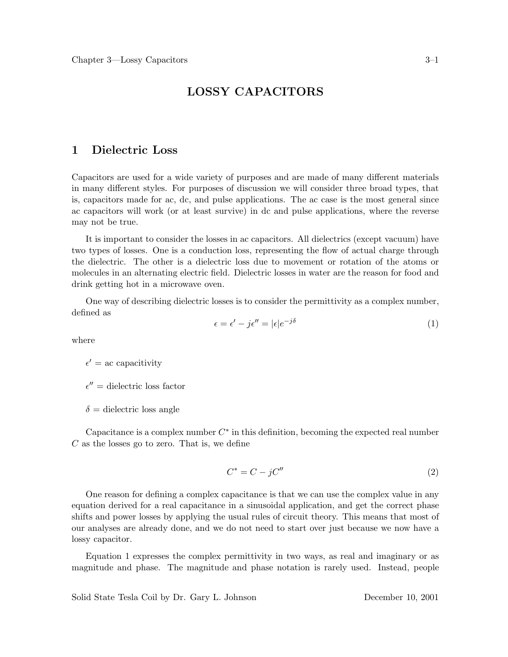# **LOSSY CAPACITORS**

# **1 Dielectric Loss**

Capacitors are used for a wide variety of purposes and are made of many different materials in many different styles. For purposes of discussion we will consider three broad types, that is, capacitors made for ac, dc, and pulse applications. The ac case is the most general since ac capacitors will work (or at least survive) in dc and pulse applications, where the reverse may not be true.

It is important to consider the losses in ac capacitors. All dielectrics (except vacuum) have two types of losses. One is a conduction loss, representing the flow of actual charge through the dielectric. The other is a dielectric loss due to movement or rotation of the atoms or molecules in an alternating electric field. Dielectric losses in water are the reason for food and drink getting hot in a microwave oven.

One way of describing dielectric losses is to consider the permittivity as a complex number, defined as

$$
\epsilon = \epsilon' - j\epsilon'' = |\epsilon|e^{-j\delta} \tag{1}
$$

where

 $\epsilon' =$  ac capacitivity

 $\epsilon'' =$  dielectric loss factor

 $\delta$  = dielectric loss angle

Capacitance is a complex number  $C^*$  in this definition, becoming the expected real number  $C$  as the losses go to zero. That is, we define

$$
C^* = C - jC'' \tag{2}
$$

One reason for defining a complex capacitance is that we can use the complex value in any equation derived for a real capacitance in a sinusoidal application, and get the correct phase shifts and power losses by applying the usual rules of circuit theory. This means that most of our analyses are already done, and we do not need to start over just because we now have a lossy capacitor.

Equation 1 expresses the complex permittivity in two ways, as real and imaginary or as magnitude and phase. The magnitude and phase notation is rarely used. Instead, people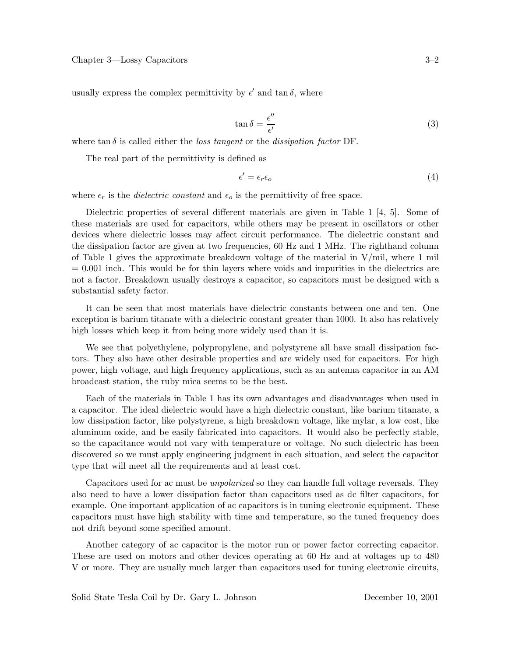usually express the complex permittivity by  $\epsilon'$  and  $\tan \delta$ , where

$$
\tan \delta = \frac{\epsilon^{\prime\prime}}{\epsilon^{\prime}} \tag{3}
$$

where  $\tan \delta$  is called either the *loss tangent* or the *dissipation factor* DF.

The real part of the permittivity is defined as

$$
\epsilon' = \epsilon_r \epsilon_o \tag{4}
$$

where  $\epsilon_r$  is the *dielectric constant* and  $\epsilon_o$  is the permittivity of free space.

Dielectric properties of several different materials are given in Table 1 [4, 5]. Some of these materials are used for capacitors, while others may be present in oscillators or other devices where dielectric losses may affect circuit performance. The dielectric constant and the dissipation factor are given at two frequencies, 60 Hz and 1 MHz. The righthand column of Table 1 gives the approximate breakdown voltage of the material in  $V/\text{mil}$ , where 1 mil  $= 0.001$  inch. This would be for thin layers where voids and impurities in the dielectrics are not a factor. Breakdown usually destroys a capacitor, so capacitors must be designed with a substantial safety factor.

It can be seen that most materials have dielectric constants between one and ten. One exception is barium titanate with a dielectric constant greater than 1000. It also has relatively high losses which keep it from being more widely used than it is.

We see that polyethylene, polypropylene, and polystyrene all have small dissipation factors. They also have other desirable properties and are widely used for capacitors. For high power, high voltage, and high frequency applications, such as an antenna capacitor in an AM broadcast station, the ruby mica seems to be the best.

Each of the materials in Table 1 has its own advantages and disadvantages when used in a capacitor. The ideal dielectric would have a high dielectric constant, like barium titanate, a low dissipation factor, like polystyrene, a high breakdown voltage, like mylar, a low cost, like aluminum oxide, and be easily fabricated into capacitors. It would also be perfectly stable, so the capacitance would not vary with temperature or voltage. No such dielectric has been discovered so we must apply engineering judgment in each situation, and select the capacitor type that will meet all the requirements and at least cost.

Capacitors used for ac must be *unpolarized* so they can handle full voltage reversals. They also need to have a lower dissipation factor than capacitors used as dc filter capacitors, for example. One important application of ac capacitors is in tuning electronic equipment. These capacitors must have high stability with time and temperature, so the tuned frequency does not drift beyond some specified amount.

Another category of ac capacitor is the motor run or power factor correcting capacitor. These are used on motors and other devices operating at 60 Hz and at voltages up to 480 V or more. They are usually much larger than capacitors used for tuning electronic circuits,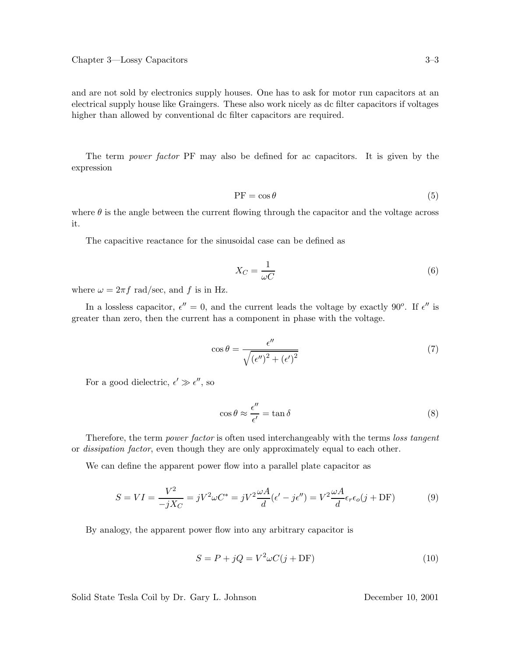and are not sold by electronics supply houses. One has to ask for motor run capacitors at an electrical supply house like Graingers. These also work nicely as dc filter capacitors if voltages higher than allowed by conventional dc filter capacitors are required.

The term *power factor* PF may also be defined for ac capacitors. It is given by the expression

$$
PF = \cos \theta \tag{5}
$$

where  $\theta$  is the angle between the current flowing through the capacitor and the voltage across it.

The capacitive reactance for the sinusoidal case can be defined as

$$
X_C = \frac{1}{\omega C} \tag{6}
$$

where  $\omega = 2\pi f$  rad/sec, and f is in Hz.

In a lossless capacitor,  $\epsilon'' = 0$ , and the current leads the voltage by exactly 90<sup>o</sup>. If  $\epsilon''$  is greater than zero, then the current has a component in phase with the voltage.

$$
\cos \theta = \frac{\epsilon''}{\sqrt{(\epsilon'')^2 + (\epsilon')^2}}
$$
\n(7)

For a good dielectric,  $\epsilon' \gg \epsilon''$ , so

$$
\cos \theta \approx \frac{\epsilon^{\prime\prime}}{\epsilon^{\prime}} = \tan \delta \tag{8}
$$

Therefore, the term *power factor* is often used interchangeably with the terms *loss tangent* or *dissipation factor*, even though they are only approximately equal to each other.

We can define the apparent power flow into a parallel plate capacitor as

$$
S = VI = \frac{V^2}{-jX_C} = jV^2\omega C^* = jV^2\frac{\omega A}{d}(\epsilon' - j\epsilon'') = V^2\frac{\omega A}{d}\epsilon_r\epsilon_o(j + DF)
$$
(9)

By analogy, the apparent power flow into any arbitrary capacitor is

$$
S = P + jQ = V^2 \omega C(j + DF)
$$
\n(10)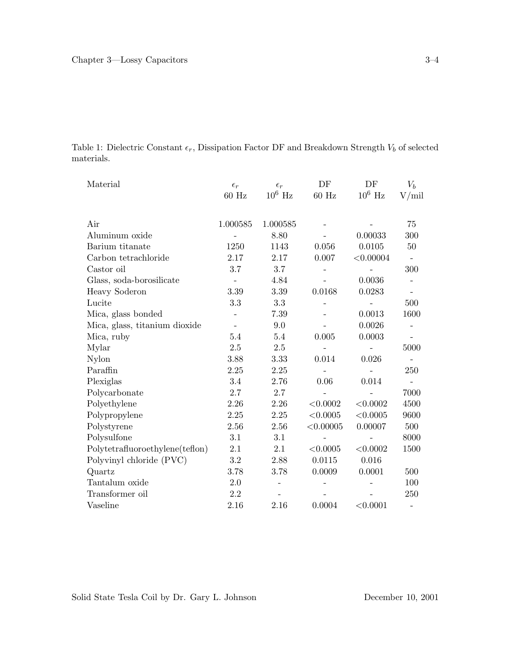Table 1: Dielectric Constant  $\epsilon_r$ , Dissipation Factor DF and Breakdown Strength  $V_b$  of selected materials.

| Material                        | $\epsilon_r$ | $\epsilon_r$ | DF        | DF                 | $V_b$                    |
|---------------------------------|--------------|--------------|-----------|--------------------|--------------------------|
|                                 | $60$ Hz      | $10^6$ Hz    | $60$ Hz   | $10^6~\mathrm{Hz}$ | V/min                    |
|                                 |              |              |           |                    |                          |
| Air                             | 1.000585     | 1.000585     |           |                    | 75                       |
| Aluminum oxide                  |              | 8.80         |           | 0.00033            | 300                      |
| Barium titanate                 | 1250         | 1143         | 0.056     | 0.0105             | 50                       |
| Carbon tetrachloride            | 2.17         | 2.17         | 0.007     | < 0.00004          | $\overline{\phantom{a}}$ |
| Castor oil                      | 3.7          | 3.7          |           |                    | 300                      |
| Glass, soda-borosilicate        |              | 4.84         |           | 0.0036             |                          |
| <b>Heavy Soderon</b>            | 3.39         | 3.39         | 0.0168    | 0.0283             |                          |
| Lucite                          | 3.3          | 3.3          |           |                    | 500                      |
| Mica, glass bonded              |              | 7.39         |           | 0.0013             | 1600                     |
| Mica, glass, titanium dioxide   |              | 9.0          |           | 0.0026             | $\overline{\phantom{0}}$ |
| Mica, ruby                      | 5.4          | 5.4          | 0.005     | 0.0003             |                          |
| Mylar                           | 2.5          | 2.5          |           |                    | 5000                     |
| Nylon                           | 3.88         | 3.33         | 0.014     | 0.026              |                          |
| Paraffin                        | 2.25         | 2.25         |           |                    | 250                      |
| Plexiglas                       | 3.4          | 2.76         | 0.06      | 0.014              | $\overline{\phantom{m}}$ |
| Polycarbonate                   | 2.7          | 2.7          |           |                    | 7000                     |
| Polyethylene                    | 2.26         | 2.26         | < 0.0002  | < 0.0002           | 4500                     |
| Polypropylene                   | 2.25         | 2.25         | < 0.0005  | < 0.0005           | 9600                     |
| Polystyrene                     | 2.56         | 2.56         | < 0.00005 | 0.00007            | 500                      |
| Polysulfone                     | 3.1          | 3.1          |           |                    | 8000                     |
| Polytetrafluoroethylene(teflon) | 2.1          | 2.1          | < 0.0005  | < 0.0002           | 1500                     |
| Polyvinyl chloride (PVC)        | 3.2          | 2.88         | 0.0115    | 0.016              |                          |
| Quartz                          | 3.78         | 3.78         | 0.0009    | 0.0001             | 500                      |
| Tantalum oxide                  | 2.0          |              |           |                    | 100                      |
| Transformer oil                 | 2.2          |              |           |                    | 250                      |
| Vaseline                        | 2.16         | 2.16         | 0.0004    | < 0.0001           | $\overline{\phantom{0}}$ |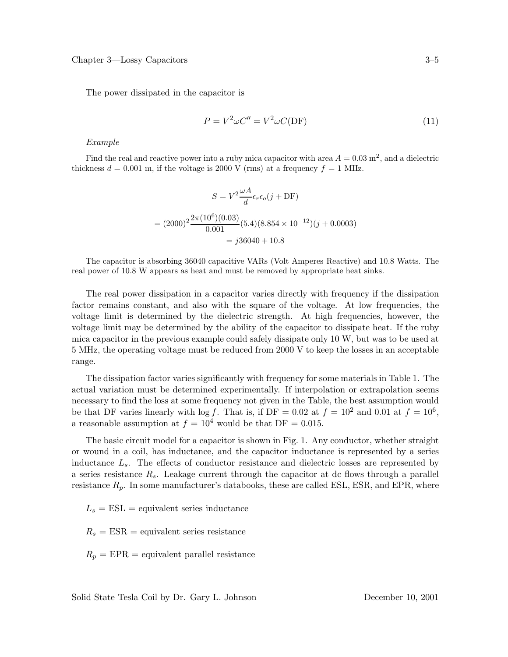The power dissipated in the capacitor is

$$
P = V^2 \omega C'' = V^2 \omega C(DF)
$$
\n(11)

*Example*

Find the real and reactive power into a ruby mica capacitor with area  $A = 0.03$  m<sup>2</sup>, and a dielectric thickness  $d = 0.001$  m, if the voltage is 2000 V (rms) at a frequency  $f = 1$  MHz.

$$
S = V^2 \frac{\omega A}{d} \epsilon_r \epsilon_o(j + \text{DF})
$$

$$
= (2000)^2 \frac{2\pi (10^6)(0.03)}{0.001} (5.4)(8.854 \times 10^{-12})(j + 0.0003)
$$

$$
= j36040 + 10.8
$$

The capacitor is absorbing 36040 capacitive VARs (Volt Amperes Reactive) and 10.8 Watts. The real power of 10.8 W appears as heat and must be removed by appropriate heat sinks.

The real power dissipation in a capacitor varies directly with frequency if the dissipation factor remains constant, and also with the square of the voltage. At low frequencies, the voltage limit is determined by the dielectric strength. At high frequencies, however, the voltage limit may be determined by the ability of the capacitor to dissipate heat. If the ruby mica capacitor in the previous example could safely dissipate only 10 W, but was to be used at 5 MHz, the operating voltage must be reduced from 2000 V to keep the losses in an acceptable range.

The dissipation factor varies significantly with frequency for some materials in Table 1. The actual variation must be determined experimentally. If interpolation or extrapolation seems necessary to find the loss at some frequency not given in the Table, the best assumption would be that DF varies linearly with  $\log f$ . That is, if DF = 0.02 at  $f = 10^2$  and 0.01 at  $f = 10^6$ , a reasonable assumption at  $f = 10^4$  would be that DF = 0.015.

The basic circuit model for a capacitor is shown in Fig. 1. Any conductor, whether straight or wound in a coil, has inductance, and the capacitor inductance is represented by a series inductance Ls. The effects of conductor resistance and dielectric losses are represented by a series resistance  $R_s$ . Leakage current through the capacitor at dc flows through a parallel resistance  $R_p$ . In some manufacturer's databooks, these are called ESL, ESR, and EPR, where

 $L_s = \text{ESL}$  = equivalent series inductance

 $R_s = ESR =$  equivalent series resistance

 $R_p = EPR =$  equivalent parallel resistance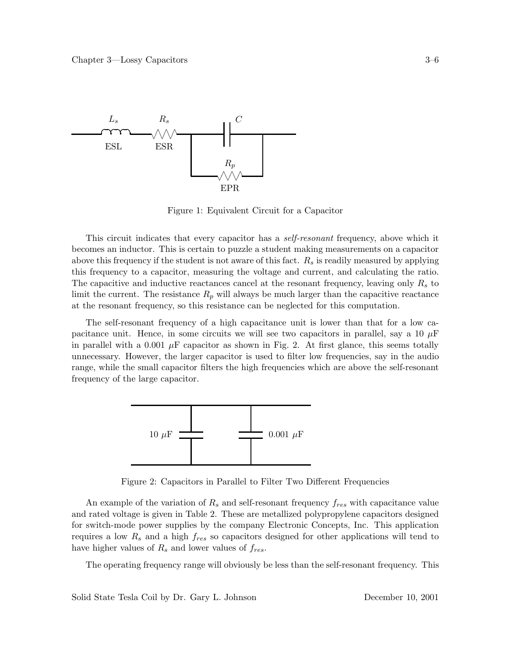

Figure 1: Equivalent Circuit for a Capacitor

This circuit indicates that every capacitor has a *self-resonant* frequency, above which it becomes an inductor. This is certain to puzzle a student making measurements on a capacitor above this frequency if the student is not aware of this fact.  $R_s$  is readily measured by applying this frequency to a capacitor, measuring the voltage and current, and calculating the ratio. The capacitive and inductive reactances cancel at the resonant frequency, leaving only  $R_s$  to limit the current. The resistance  $R_p$  will always be much larger than the capacitive reactance at the resonant frequency, so this resistance can be neglected for this computation.

The self-resonant frequency of a high capacitance unit is lower than that for a low capacitance unit. Hence, in some circuits we will see two capacitors in parallel, say a 10  $\mu$ F in parallel with a 0.001  $\mu$ F capacitor as shown in Fig. 2. At first glance, this seems totally unnecessary. However, the larger capacitor is used to filter low frequencies, say in the audio range, while the small capacitor filters the high frequencies which are above the self-resonant frequency of the large capacitor.



Figure 2: Capacitors in Parallel to Filter Two Different Frequencies

An example of the variation of  $R_s$  and self-resonant frequency  $f_{res}$  with capacitance value and rated voltage is given in Table 2. These are metallized polypropylene capacitors designed for switch-mode power supplies by the company Electronic Concepts, Inc. This application requires a low  $R_s$  and a high  $f_{res}$  so capacitors designed for other applications will tend to have higher values of  $R_s$  and lower values of  $f_{res}$ .

The operating frequency range will obviously be less than the self-resonant frequency. This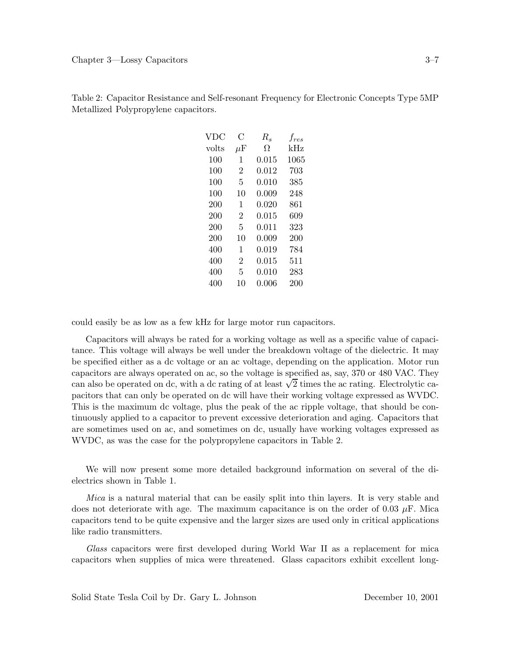| VDC   | С               | $R_s$ | $f_{res}$ |
|-------|-----------------|-------|-----------|
| volts | $\mu\mathrm{F}$ | Ω     | $\rm kHz$ |
| 100   | 1               | 0.015 | 1065      |
| 100   | $\overline{2}$  | 0.012 | 703       |
| 100   | 5               | 0.010 | 385       |
| 100   | 10              | 0.009 | 248       |
| 200   | 1               | 0.020 | 861       |
| 200   | $\overline{2}$  | 0.015 | 609       |
| 200   | 5               | 0.011 | 323       |
| 200   | 10              | 0.009 | 200       |
| 400   | 1               | 0.019 | 784       |
| 400   | $\overline{2}$  | 0.015 | 511       |
| 400   | 5               | 0.010 | 283       |
| 400   | 10              | 0.006 | 200       |

Table 2: Capacitor Resistance and Self-resonant Frequency for Electronic Concepts Type 5MP Metallized Polypropylene capacitors.

could easily be as low as a few kHz for large motor run capacitors.

Capacitors will always be rated for a working voltage as well as a specific value of capacitance. This voltage will always be well under the breakdown voltage of the dielectric. It may be specified either as a dc voltage or an ac voltage, depending on the application. Motor run capacitors are always operated on ac, so the voltage is specified as, say, 370 or 480 VAC. They can also be operated on dc, with a dc rating of at least  $\sqrt{2}$  times the ac rating. Electrolytic capacitors that can only be operated on dc will have their working voltage expressed as WVDC. This is the maximum dc voltage, plus the peak of the ac ripple voltage, that should be continuously applied to a capacitor to prevent excessive deterioration and aging. Capacitors that are sometimes used on ac, and sometimes on dc, usually have working voltages expressed as WVDC, as was the case for the polypropylene capacitors in Table 2.

We will now present some more detailed background information on several of the dielectrics shown in Table 1.

*Mica* is a natural material that can be easily split into thin layers. It is very stable and does not deteriorate with age. The maximum capacitance is on the order of 0.03  $\mu$ F. Mica capacitors tend to be quite expensive and the larger sizes are used only in critical applications like radio transmitters.

*Glass* capacitors were first developed during World War II as a replacement for mica capacitors when supplies of mica were threatened. Glass capacitors exhibit excellent long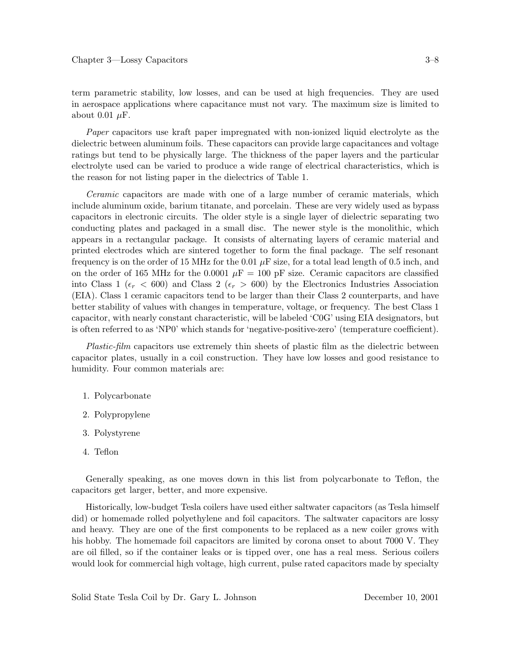term parametric stability, low losses, and can be used at high frequencies. They are used in aerospace applications where capacitance must not vary. The maximum size is limited to about 0.01  $\mu$ F.

*Paper* capacitors use kraft paper impregnated with non-ionized liquid electrolyte as the dielectric between aluminum foils. These capacitors can provide large capacitances and voltage ratings but tend to be physically large. The thickness of the paper layers and the particular electrolyte used can be varied to produce a wide range of electrical characteristics, which is the reason for not listing paper in the dielectrics of Table 1.

*Ceramic* capacitors are made with one of a large number of ceramic materials, which include aluminum oxide, barium titanate, and porcelain. These are very widely used as bypass capacitors in electronic circuits. The older style is a single layer of dielectric separating two conducting plates and packaged in a small disc. The newer style is the monolithic, which appears in a rectangular package. It consists of alternating layers of ceramic material and printed electrodes which are sintered together to form the final package. The self resonant frequency is on the order of 15 MHz for the 0.01  $\mu$ F size, for a total lead length of 0.5 inch, and on the order of 165 MHz for the 0.0001  $\mu$ F = 100 pF size. Ceramic capacitors are classified into Class 1 ( $\epsilon_r$  < 600) and Class 2 ( $\epsilon_r$  > 600) by the Electronics Industries Association (EIA). Class 1 ceramic capacitors tend to be larger than their Class 2 counterparts, and have better stability of values with changes in temperature, voltage, or frequency. The best Class 1 capacitor, with nearly constant characteristic, will be labeled 'C0G' using EIA designators, but is often referred to as 'NP0' which stands for 'negative-positive-zero' (temperature coefficient).

*Plastic-film* capacitors use extremely thin sheets of plastic film as the dielectric between capacitor plates, usually in a coil construction. They have low losses and good resistance to humidity. Four common materials are:

- 1. Polycarbonate
- 2. Polypropylene
- 3. Polystyrene
- 4. Teflon

Generally speaking, as one moves down in this list from polycarbonate to Teflon, the capacitors get larger, better, and more expensive.

Historically, low-budget Tesla coilers have used either saltwater capacitors (as Tesla himself did) or homemade rolled polyethylene and foil capacitors. The saltwater capacitors are lossy and heavy. They are one of the first components to be replaced as a new coiler grows with his hobby. The homemade foil capacitors are limited by corona onset to about 7000 V. They are oil filled, so if the container leaks or is tipped over, one has a real mess. Serious coilers would look for commercial high voltage, high current, pulse rated capacitors made by specialty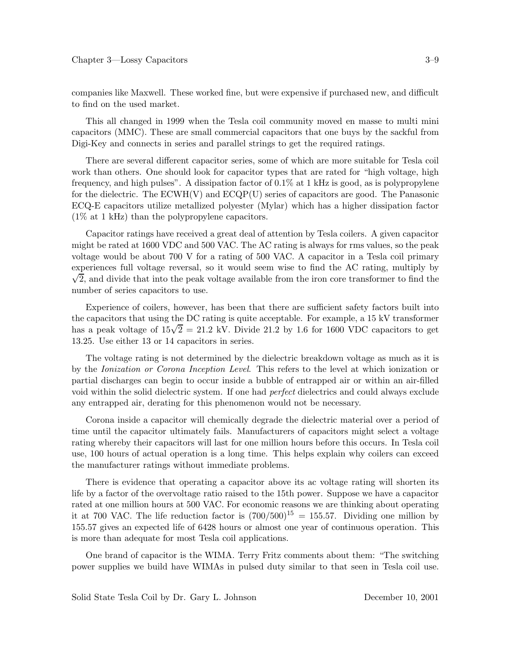companies like Maxwell. These worked fine, but were expensive if purchased new, and difficult to find on the used market.

This all changed in 1999 when the Tesla coil community moved en masse to multi mini capacitors (MMC). These are small commercial capacitors that one buys by the sackful from Digi-Key and connects in series and parallel strings to get the required ratings.

There are several different capacitor series, some of which are more suitable for Tesla coil work than others. One should look for capacitor types that are rated for "high voltage, high frequency, and high pulses". A dissipation factor of 0.1% at 1 kHz is good, as is polypropylene for the dielectric. The  $ECWH(V)$  and  $ECQP(U)$  series of capacitors are good. The Panasonic ECQ-E capacitors utilize metallized polyester (Mylar) which has a higher dissipation factor (1% at 1 kHz) than the polypropylene capacitors.

Capacitor ratings have received a great deal of attention by Tesla coilers. A given capacitor might be rated at 1600 VDC and 500 VAC. The AC rating is always for rms values, so the peak voltage would be about 700 V for a rating of 500 VAC. A capacitor in a Tesla coil primary experiences full voltage reversal, so it would seem wise to find the AC rating, multiply by  $\sqrt{2}$ , and divide that into the peak voltage available from the iron core transformer to find the number of series capacitors to use.

Experience of coilers, however, has been that there are sufficient safety factors built into the capacitors that using the DC rating is quite acceptable. For example, a 15 kV transformer has a peak voltage of  $15\sqrt{2} = 21.2$  kV. Divide 21.2 by 1.6 for 1600 VDC capacitors to get 13.25. Use either 13 or 14 capacitors in series.

The voltage rating is not determined by the dielectric breakdown voltage as much as it is by the *Ionization or Corona Inception Level*. This refers to the level at which ionization or partial discharges can begin to occur inside a bubble of entrapped air or within an air-filled void within the solid dielectric system. If one had *perfect* dielectrics and could always exclude any entrapped air, derating for this phenomenon would not be necessary.

Corona inside a capacitor will chemically degrade the dielectric material over a period of time until the capacitor ultimately fails. Manufacturers of capacitors might select a voltage rating whereby their capacitors will last for one million hours before this occurs. In Tesla coil use, 100 hours of actual operation is a long time. This helps explain why coilers can exceed the manufacturer ratings without immediate problems.

There is evidence that operating a capacitor above its ac voltage rating will shorten its life by a factor of the overvoltage ratio raised to the 15th power. Suppose we have a capacitor rated at one million hours at 500 VAC. For economic reasons we are thinking about operating it at 700 VAC. The life reduction factor is  $(700/500)^{15} = 155.57$ . Dividing one million by 155.57 gives an expected life of 6428 hours or almost one year of continuous operation. This is more than adequate for most Tesla coil applications.

One brand of capacitor is the WIMA. Terry Fritz comments about them: "The switching power supplies we build have WIMAs in pulsed duty similar to that seen in Tesla coil use.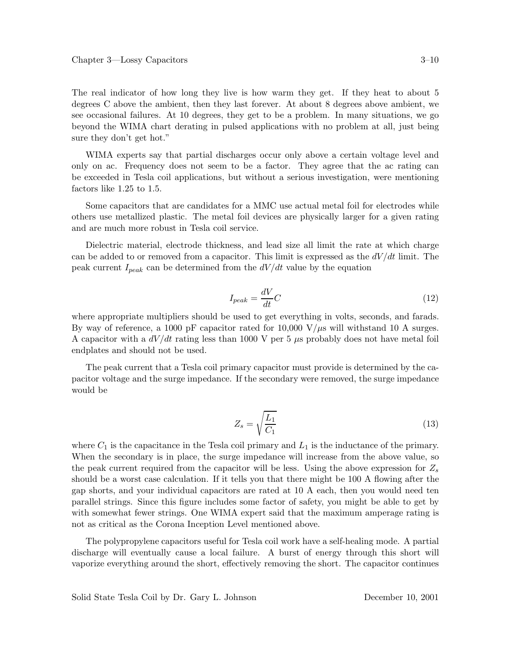The real indicator of how long they live is how warm they get. If they heat to about 5 degrees C above the ambient, then they last forever. At about 8 degrees above ambient, we see occasional failures. At 10 degrees, they get to be a problem. In many situations, we go beyond the WIMA chart derating in pulsed applications with no problem at all, just being sure they don't get hot."

WIMA experts say that partial discharges occur only above a certain voltage level and only on ac. Frequency does not seem to be a factor. They agree that the ac rating can be exceeded in Tesla coil applications, but without a serious investigation, were mentioning factors like 1.25 to 1.5.

Some capacitors that are candidates for a MMC use actual metal foil for electrodes while others use metallized plastic. The metal foil devices are physically larger for a given rating and are much more robust in Tesla coil service.

Dielectric material, electrode thickness, and lead size all limit the rate at which charge can be added to or removed from a capacitor. This limit is expressed as the  $dV/dt$  limit. The peak current  $I_{peak}$  can be determined from the  $dV/dt$  value by the equation

$$
I_{peak} = \frac{dV}{dt}C\tag{12}
$$

where appropriate multipliers should be used to get everything in volts, seconds, and farads. By way of reference, a 1000 pF capacitor rated for 10,000  $V/\mu s$  will withstand 10 A surges. A capacitor with a  $dV/dt$  rating less than 1000 V per 5  $\mu$ s probably does not have metal foil endplates and should not be used.

The peak current that a Tesla coil primary capacitor must provide is determined by the capacitor voltage and the surge impedance. If the secondary were removed, the surge impedance would be

$$
Z_s = \sqrt{\frac{L_1}{C_1}}\tag{13}
$$

where  $C_1$  is the capacitance in the Tesla coil primary and  $L_1$  is the inductance of the primary. When the secondary is in place, the surge impedance will increase from the above value, so the peak current required from the capacitor will be less. Using the above expression for  $Z_s$ should be a worst case calculation. If it tells you that there might be 100 A flowing after the gap shorts, and your individual capacitors are rated at 10 A each, then you would need ten parallel strings. Since this figure includes some factor of safety, you might be able to get by with somewhat fewer strings. One WIMA expert said that the maximum amperage rating is not as critical as the Corona Inception Level mentioned above.

The polypropylene capacitors useful for Tesla coil work have a self-healing mode. A partial discharge will eventually cause a local failure. A burst of energy through this short will vaporize everything around the short, effectively removing the short. The capacitor continues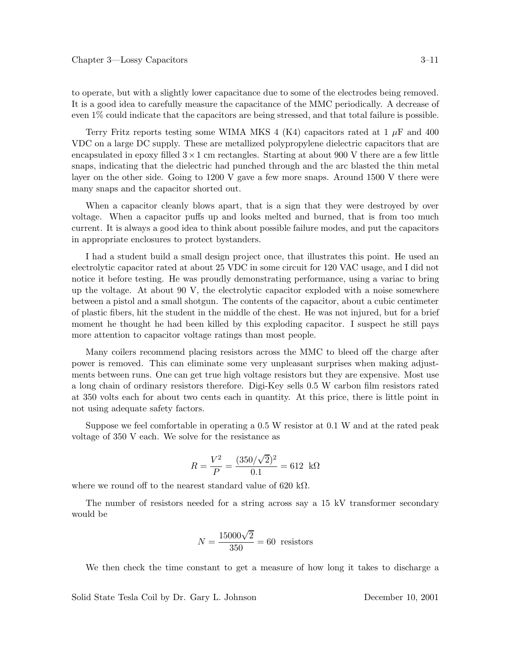to operate, but with a slightly lower capacitance due to some of the electrodes being removed. It is a good idea to carefully measure the capacitance of the MMC periodically. A decrease of even 1% could indicate that the capacitors are being stressed, and that total failure is possible.

Terry Fritz reports testing some WIMA MKS 4 (K4) capacitors rated at 1  $\mu$ F and 400 VDC on a large DC supply. These are metallized polypropylene dielectric capacitors that are encapsulated in epoxy filled  $3 \times 1$  cm rectangles. Starting at about 900 V there are a few little snaps, indicating that the dielectric had punched through and the arc blasted the thin metal layer on the other side. Going to 1200 V gave a few more snaps. Around 1500 V there were many snaps and the capacitor shorted out.

When a capacitor cleanly blows apart, that is a sign that they were destroyed by over voltage. When a capacitor puffs up and looks melted and burned, that is from too much current. It is always a good idea to think about possible failure modes, and put the capacitors in appropriate enclosures to protect bystanders.

I had a student build a small design project once, that illustrates this point. He used an electrolytic capacitor rated at about 25 VDC in some circuit for 120 VAC usage, and I did not notice it before testing. He was proudly demonstrating performance, using a variac to bring up the voltage. At about 90 V, the electrolytic capacitor exploded with a noise somewhere between a pistol and a small shotgun. The contents of the capacitor, about a cubic centimeter of plastic fibers, hit the student in the middle of the chest. He was not injured, but for a brief moment he thought he had been killed by this exploding capacitor. I suspect he still pays more attention to capacitor voltage ratings than most people.

Many coilers recommend placing resistors across the MMC to bleed off the charge after power is removed. This can eliminate some very unpleasant surprises when making adjustments between runs. One can get true high voltage resistors but they are expensive. Most use a long chain of ordinary resistors therefore. Digi-Key sells 0.5 W carbon film resistors rated at 350 volts each for about two cents each in quantity. At this price, there is little point in not using adequate safety factors.

Suppose we feel comfortable in operating a 0.5 W resistor at 0.1 W and at the rated peak voltage of 350 V each. We solve for the resistance as

$$
R = \frac{V^2}{P} = \frac{(350/\sqrt{2})^2}{0.1} = 612 \text{ k}\Omega
$$

where we round off to the nearest standard value of 620 k $\Omega$ .

The number of resistors needed for a string across say a 15 kV transformer secondary would be

$$
N = \frac{15000\sqrt{2}}{350} = 60
$$
 resistors

We then check the time constant to get a measure of how long it takes to discharge a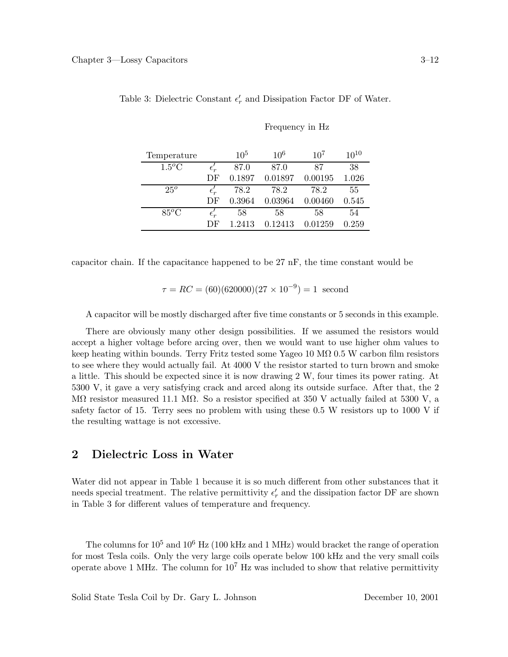| Temperature  |                         | $10^{5}$ | $10^{6}$ | 10 <sup>7</sup> | $10^{10}$ |
|--------------|-------------------------|----------|----------|-----------------|-----------|
| $1.5^oC$     |                         | 87.0     | 87.0     | 87              | 38        |
|              | DF                      | 0.1897   | 0.01897  | 0.00195         | 1.026     |
| $25^{\circ}$ | $\epsilon_{ r}^{\cdot}$ | 78.2     | 78.2     | 78.2            | 55        |
|              | DF                      | 0.3964   | 0.03964  | 0.00460         | 0.545     |
| $85^oC$      | $\epsilon_{r}'$         | 58       | 58       | 58              | 54        |
|              | DF                      | 1 2413   | 0.12413  | 0.01259         | 0.259     |

Table 3: Dielectric Constant  $\epsilon'_r$  and Dissipation Factor DF of Water.

Frequency in Hz

capacitor chain. If the capacitance happened to be 27 nF, the time constant would be

$$
\tau = RC = (60)(620000)(27 \times 10^{-9}) = 1
$$
 second

A capacitor will be mostly discharged after five time constants or 5 seconds in this example.

There are obviously many other design possibilities. If we assumed the resistors would accept a higher voltage before arcing over, then we would want to use higher ohm values to keep heating within bounds. Terry Fritz tested some Yageo 10 M $\Omega$  0.5 W carbon film resistors to see where they would actually fail. At 4000 V the resistor started to turn brown and smoke a little. This should be expected since it is now drawing 2 W, four times its power rating. At 5300 V, it gave a very satisfying crack and arced along its outside surface. After that, the 2 M $\Omega$  resistor measured 11.1 M $\Omega$ . So a resistor specified at 350 V actually failed at 5300 V, a safety factor of 15. Terry sees no problem with using these 0.5 W resistors up to 1000 V if the resulting wattage is not excessive.

### **2 Dielectric Loss in Water**

Water did not appear in Table 1 because it is so much different from other substances that it needs special treatment. The relative permittivity  $\epsilon'_r$  and the dissipation factor DF are shown in Table 3 for different values of temperature and frequency.

The columns for  $10^5$  and  $10^6$  Hz (100 kHz and 1 MHz) would bracket the range of operation for most Tesla coils. Only the very large coils operate below 100 kHz and the very small coils operate above 1 MHz. The column for  $10^7$  Hz was included to show that relative permittivity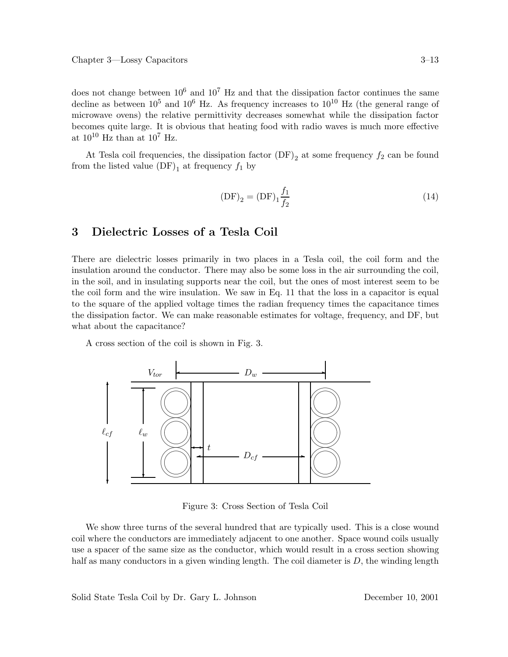does not change between  $10^6$  and  $10^7$  Hz and that the dissipation factor continues the same decline as between  $10^5$  and  $10^6$  Hz. As frequency increases to  $10^{10}$  Hz (the general range of microwave ovens) the relative permittivity decreases somewhat while the dissipation factor becomes quite large. It is obvious that heating food with radio waves is much more effective at  $10^{10}$  Hz than at  $10^7$  Hz.

At Tesla coil frequencies, the dissipation factor  $(DF)_{2}$  at some frequency  $f_{2}$  can be found from the listed value  $(DF)_1$  at frequency  $f_1$  by

$$
(DF)_2 = (DF)_1 \frac{f_1}{f_2}
$$
 (14)

### **3 Dielectric Losses of a Tesla Coil**

There are dielectric losses primarily in two places in a Tesla coil, the coil form and the insulation around the conductor. There may also be some loss in the air surrounding the coil, in the soil, and in insulating supports near the coil, but the ones of most interest seem to be the coil form and the wire insulation. We saw in Eq. 11 that the loss in a capacitor is equal to the square of the applied voltage times the radian frequency times the capacitance times the dissipation factor. We can make reasonable estimates for voltage, frequency, and DF, but what about the capacitance?

A cross section of the coil is shown in Fig. 3.



Figure 3: Cross Section of Tesla Coil

We show three turns of the several hundred that are typically used. This is a close wound coil where the conductors are immediately adjacent to one another. Space wound coils usually use a spacer of the same size as the conductor, which would result in a cross section showing half as many conductors in a given winding length. The coil diameter is  $D$ , the winding length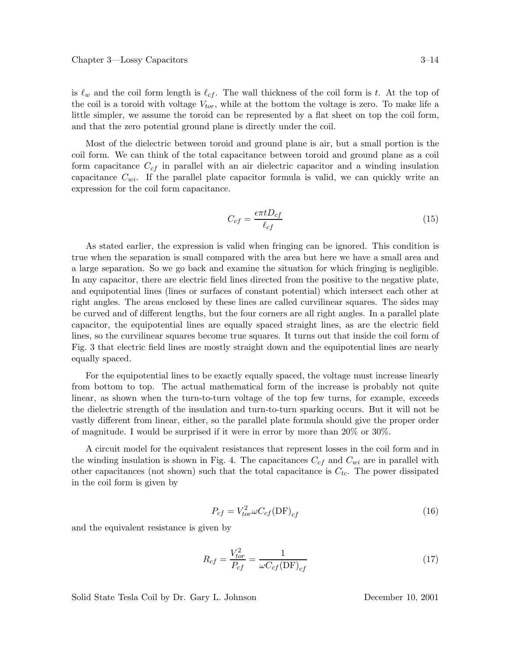is  $\ell_w$  and the coil form length is  $\ell_{cf}$ . The wall thickness of the coil form is t. At the top of the coil is a toroid with voltage  $V_{tor}$ , while at the bottom the voltage is zero. To make life a little simpler, we assume the toroid can be represented by a flat sheet on top the coil form, and that the zero potential ground plane is directly under the coil.

Most of the dielectric between toroid and ground plane is air, but a small portion is the coil form. We can think of the total capacitance between toroid and ground plane as a coil form capacitance  $C_{cf}$  in parallel with an air dielectric capacitor and a winding insulation capacitance  $C_{wi}$ . If the parallel plate capacitor formula is valid, we can quickly write an expression for the coil form capacitance.

$$
C_{cf} = \frac{\epsilon \pi t D_{cf}}{\ell_{cf}}
$$
 (15)

As stated earlier, the expression is valid when fringing can be ignored. This condition is true when the separation is small compared with the area but here we have a small area and a large separation. So we go back and examine the situation for which fringing is negligible. In any capacitor, there are electric field lines directed from the positive to the negative plate, and equipotential lines (lines or surfaces of constant potential) which intersect each other at right angles. The areas enclosed by these lines are called curvilinear squares. The sides may be curved and of different lengths, but the four corners are all right angles. In a parallel plate capacitor, the equipotential lines are equally spaced straight lines, as are the electric field lines, so the curvilinear squares become true squares. It turns out that inside the coil form of Fig. 3 that electric field lines are mostly straight down and the equipotential lines are nearly equally spaced.

For the equipotential lines to be exactly equally spaced, the voltage must increase linearly from bottom to top. The actual mathematical form of the increase is probably not quite linear, as shown when the turn-to-turn voltage of the top few turns, for example, exceeds the dielectric strength of the insulation and turn-to-turn sparking occurs. But it will not be vastly different from linear, either, so the parallel plate formula should give the proper order of magnitude. I would be surprised if it were in error by more than 20% or 30%.

A circuit model for the equivalent resistances that represent losses in the coil form and in the winding insulation is shown in Fig. 4. The capacitances  $C_{cf}$  and  $C_{wi}$  are in parallel with other capacitances (not shown) such that the total capacitance is  $C_{tc}$ . The power dissipated in the coil form is given by

$$
P_{cf} = V_{tor}^2 \omega C_{cf} (\text{DF})_{cf} \tag{16}
$$

and the equivalent resistance is given by

$$
R_{cf} = \frac{V_{tor}^2}{P_{cf}} = \frac{1}{\omega C_{cf} (\text{DF})_{cf}}
$$
\n
$$
\tag{17}
$$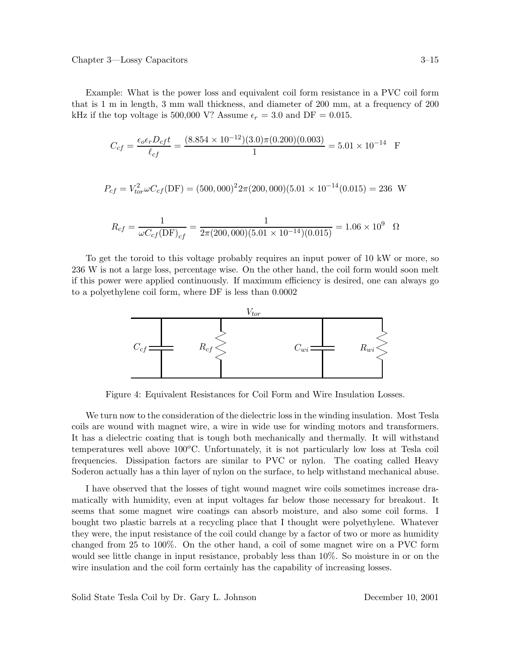Example: What is the power loss and equivalent coil form resistance in a PVC coil form that is 1 m in length, 3 mm wall thickness, and diameter of 200 mm, at a frequency of 200 kHz if the top voltage is 500,000 V? Assume  $\epsilon_r = 3.0$  and DF = 0.015.

$$
C_{cf} = \frac{\epsilon_o \epsilon_r D_{cf} t}{\ell_{cf}} = \frac{(8.854 \times 10^{-12})(3.0)\pi (0.200)(0.003)}{1} = 5.01 \times 10^{-14} \text{ F}
$$

$$
P_{cf} = V_{tor}^2 \omega C_{cf} (\text{DF}) = (500,000)^2 2\pi (200,000)(5.01 \times 10^{-14} (0.015) = 236 \text{ W}
$$

$$
R_{cf} = \frac{1}{\omega C_{cf}(\text{DF})_{cf}} = \frac{1}{2\pi (200,000)(5.01 \times 10^{-14})(0.015)} = 1.06 \times 10^9 \quad \Omega
$$

To get the toroid to this voltage probably requires an input power of 10 kW or more, so 236 W is not a large loss, percentage wise. On the other hand, the coil form would soon melt if this power were applied continuously. If maximum efficiency is desired, one can always go to a polyethylene coil form, where DF is less than 0.0002



Figure 4: Equivalent Resistances for Coil Form and Wire Insulation Losses.

We turn now to the consideration of the dielectric loss in the winding insulation. Most Tesla coils are wound with magnet wire, a wire in wide use for winding motors and transformers. It has a dielectric coating that is tough both mechanically and thermally. It will withstand temperatures well above  $100^{\circ}$ C. Unfortunately, it is not particularly low loss at Tesla coil frequencies. Dissipation factors are similar to PVC or nylon. The coating called Heavy Soderon actually has a thin layer of nylon on the surface, to help withstand mechanical abuse.

I have observed that the losses of tight wound magnet wire coils sometimes increase dramatically with humidity, even at input voltages far below those necessary for breakout. It seems that some magnet wire coatings can absorb moisture, and also some coil forms. I bought two plastic barrels at a recycling place that I thought were polyethylene. Whatever they were, the input resistance of the coil could change by a factor of two or more as humidity changed from 25 to 100%. On the other hand, a coil of some magnet wire on a PVC form would see little change in input resistance, probably less than 10%. So moisture in or on the wire insulation and the coil form certainly has the capability of increasing losses.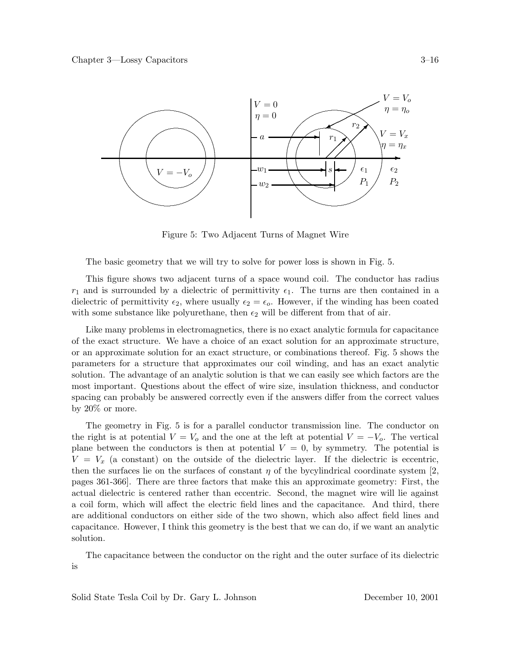

Figure 5: Two Adjacent Turns of Magnet Wire

The basic geometry that we will try to solve for power loss is shown in Fig. 5.

This figure shows two adjacent turns of a space wound coil. The conductor has radius  $r_1$  and is surrounded by a dielectric of permittivity  $\epsilon_1$ . The turns are then contained in a dielectric of permittivity  $\epsilon_2$ , where usually  $\epsilon_2 = \epsilon_0$ . However, if the winding has been coated with some substance like polyurethane, then  $\epsilon_2$  will be different from that of air.

Like many problems in electromagnetics, there is no exact analytic formula for capacitance of the exact structure. We have a choice of an exact solution for an approximate structure, or an approximate solution for an exact structure, or combinations thereof. Fig. 5 shows the parameters for a structure that approximates our coil winding, and has an exact analytic solution. The advantage of an analytic solution is that we can easily see which factors are the most important. Questions about the effect of wire size, insulation thickness, and conductor spacing can probably be answered correctly even if the answers differ from the correct values by 20% or more.

The geometry in Fig. 5 is for a parallel conductor transmission line. The conductor on the right is at potential  $V = V_0$  and the one at the left at potential  $V = -V_0$ . The vertical plane between the conductors is then at potential  $V = 0$ , by symmetry. The potential is  $V = V_x$  (a constant) on the outside of the dielectric layer. If the dielectric is eccentric, then the surfaces lie on the surfaces of constant  $\eta$  of the bycylindrical coordinate system [2, pages 361-366]. There are three factors that make this an approximate geometry: First, the actual dielectric is centered rather than eccentric. Second, the magnet wire will lie against a coil form, which will affect the electric field lines and the capacitance. And third, there are additional conductors on either side of the two shown, which also affect field lines and capacitance. However, I think this geometry is the best that we can do, if we want an analytic solution.

The capacitance between the conductor on the right and the outer surface of its dielectric is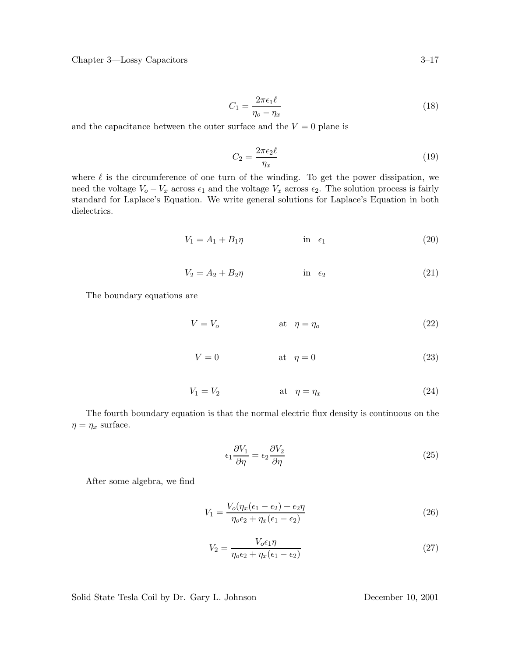Chapter 3—Lossy Capacitors 3–17

$$
C_1 = \frac{2\pi\epsilon_1\ell}{\eta_o - \eta_x} \tag{18}
$$

and the capacitance between the outer surface and the  $V = 0$  plane is

$$
C_2 = \frac{2\pi\epsilon_2\ell}{\eta_x} \tag{19}
$$

where  $\ell$  is the circumference of one turn of the winding. To get the power dissipation, we need the voltage  $V_o - V_x$  across  $\epsilon_1$  and the voltage  $V_x$  across  $\epsilon_2$ . The solution process is fairly standard for Laplace's Equation. We write general solutions for Laplace's Equation in both dielectrics.

$$
V_1 = A_1 + B_1 \eta \qquad \qquad \text{in } \epsilon_1 \tag{20}
$$

$$
V_2 = A_2 + B_2 \eta \qquad \qquad \text{in} \quad \epsilon_2 \tag{21}
$$

The boundary equations are

$$
V = V_o \qquad \qquad \text{at} \quad \eta = \eta_o \tag{22}
$$

$$
V = 0 \qquad \qquad \text{at} \quad \eta = 0 \tag{23}
$$

$$
V_1 = V_2 \qquad \qquad \text{at} \quad \eta = \eta_x \tag{24}
$$

The fourth boundary equation is that the normal electric flux density is continuous on the  $\eta = \eta_x$  surface.

$$
\epsilon_1 \frac{\partial V_1}{\partial \eta} = \epsilon_2 \frac{\partial V_2}{\partial \eta} \tag{25}
$$

After some algebra, we find

$$
V_1 = \frac{V_o(\eta_x(\epsilon_1 - \epsilon_2) + \epsilon_2 \eta)}{\eta_o \epsilon_2 + \eta_x(\epsilon_1 - \epsilon_2)}
$$
\n(26)

$$
V_2 = \frac{V_o \epsilon_1 \eta}{\eta_o \epsilon_2 + \eta_x (\epsilon_1 - \epsilon_2)}\tag{27}
$$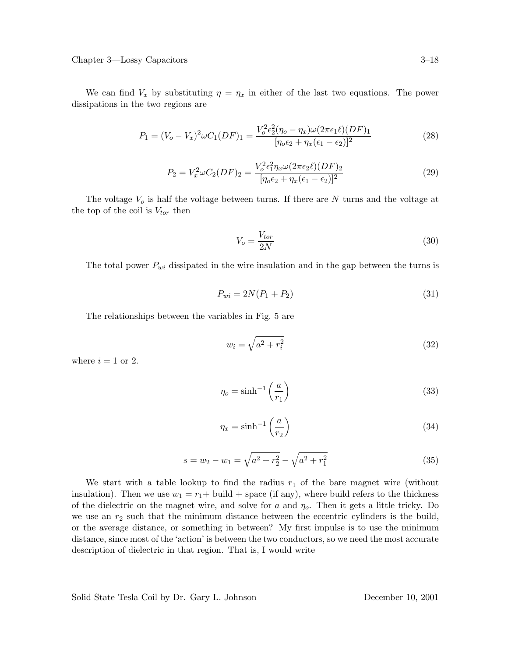Chapter 3—Lossy Capacitors 3–18

We can find  $V_x$  by substituting  $\eta = \eta_x$  in either of the last two equations. The power dissipations in the two regions are

$$
P_1 = (V_o - V_x)^2 \omega C_1 (DF)_1 = \frac{V_o^2 \epsilon_2^2 (\eta_o - \eta_x) \omega (2\pi \epsilon_1 \ell) (DF)_1}{[\eta_o \epsilon_2 + \eta_x (\epsilon_1 - \epsilon_2)]^2}
$$
(28)

$$
P_2 = V_x^2 \omega C_2 (DF)_2 = \frac{V_o^2 \epsilon_1^2 \eta_x \omega (2\pi \epsilon_2 \ell) (DF)_2}{[\eta_o \epsilon_2 + \eta_x (\epsilon_1 - \epsilon_2)]^2}
$$
(29)

The voltage  $V_o$  is half the voltage between turns. If there are N turns and the voltage at the top of the coil is  $V_{tor}$  then

$$
V_o = \frac{V_{tor}}{2N} \tag{30}
$$

The total power  $P_{wi}$  dissipated in the wire insulation and in the gap between the turns is

$$
P_{wi} = 2N(P_1 + P_2) \tag{31}
$$

The relationships between the variables in Fig. 5 are

$$
w_i = \sqrt{a^2 + r_i^2} \tag{32}
$$

where  $i = 1$  or 2.

$$
\eta_o = \sinh^{-1}\left(\frac{a}{r_1}\right) \tag{33}
$$

$$
\eta_x = \sinh^{-1}\left(\frac{a}{r_2}\right) \tag{34}
$$

$$
s = w_2 - w_1 = \sqrt{a^2 + r_2^2} - \sqrt{a^2 + r_1^2}
$$
\n(35)

We start with a table lookup to find the radius  $r_1$  of the bare magnet wire (without insulation). Then we use  $w_1 = r_1 + \text{build} + \text{space (if any)}$ , where build refers to the thickness of the dielectric on the magnet wire, and solve for a and  $\eta_o$ . Then it gets a little tricky. Do we use an  $r_2$  such that the minimum distance between the eccentric cylinders is the build, or the average distance, or something in between? My first impulse is to use the minimum distance, since most of the 'action' is between the two conductors, so we need the most accurate description of dielectric in that region. That is, I would write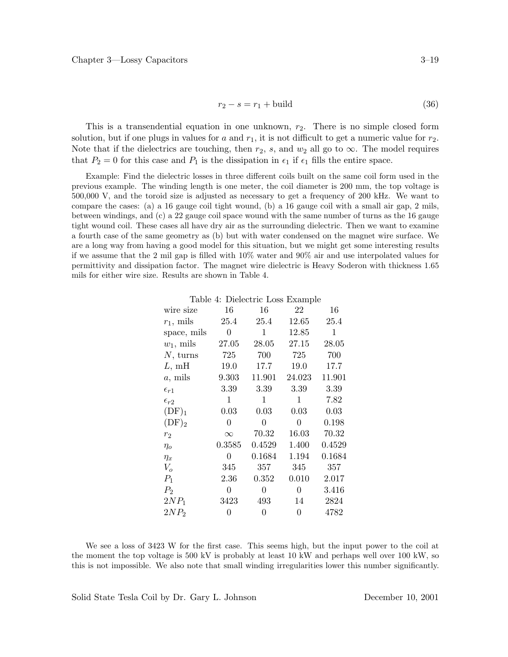$$
r_2 - s = r_1 + \text{build} \tag{36}
$$

This is a transendential equation in one unknown,  $r<sub>2</sub>$ . There is no simple closed form solution, but if one plugs in values for a and  $r_1$ , it is not difficult to get a numeric value for  $r_2$ . Note that if the dielectrics are touching, then  $r_2$ , s, and  $w_2$  all go to  $\infty$ . The model requires that  $P_2 = 0$  for this case and  $P_1$  is the dissipation in  $\epsilon_1$  if  $\epsilon_1$  fills the entire space.

Example: Find the dielectric losses in three different coils built on the same coil form used in the previous example. The winding length is one meter, the coil diameter is 200 mm, the top voltage is 500,000 V, and the toroid size is adjusted as necessary to get a frequency of 200 kHz. We want to compare the cases: (a) a 16 gauge coil tight wound, (b) a 16 gauge coil with a small air gap, 2 mils, between windings, and (c) a 22 gauge coil space wound with the same number of turns as the 16 gauge tight wound coil. These cases all have dry air as the surrounding dielectric. Then we want to examine a fourth case of the same geometry as (b) but with water condensed on the magnet wire surface. We are a long way from having a good model for this situation, but we might get some interesting results if we assume that the 2 mil gap is filled with 10% water and 90% air and use interpolated values for permittivity and dissipation factor. The magnet wire dielectric is Heavy Soderon with thickness 1.65 mils for either wire size. Results are shown in Table 4.

|  | Table 4: Dielectric Loss Example |  |  |
|--|----------------------------------|--|--|
|--|----------------------------------|--|--|

| wire size        | 16       | 16     | 22     | 16     |
|------------------|----------|--------|--------|--------|
| $r_1$ , mils     | 25.4     | 25.4   | 12.65  | 25.4   |
| space, mils      | 0        | 1      | 12.85  | 1      |
| $w_1$ , mils     | 27.05    | 28.05  | 27.15  | 28.05  |
| $N$ , turns      | 725      | 700    | 725    | 700    |
| L, mH            | 19.0     | 17.7   | 19.0   | 17.7   |
| $a$ , mils       | 9.303    | 11.901 | 24.023 | 11.901 |
| $\epsilon_{r1}$  | 3.39     | 3.39   | 3.39   | 3.39   |
| $\epsilon_{r2}$  | 1        | 1      | 1      | 7.82   |
| $(DF)_1$         | 0.03     | 0.03   | 0.03   | 0.03   |
| $(DF)_2$         | 0        | 0      | 0      | 0.198  |
| $r_2$            | $\infty$ | 70.32  | 16.03  | 70.32  |
| $\eta_o$         | 0.3585   | 0.4529 | 1.400  | 0.4529 |
| $\eta_x$         | 0        | 0.1684 | 1.194  | 0.1684 |
| $V_o$            | 345      | 357    | 345    | 357    |
| $P_1$            | 2.36     | 0.352  | 0.010  | 2.017  |
| $P_2$            | 0        | 0      | 0      | 3.416  |
| $2NP_1$          | 3423     | 493    | 14     | 2824   |
| 2NP <sub>2</sub> | 0        | 0      | 0      | 4782   |
|                  |          |        |        |        |

We see a loss of 3423 W for the first case. This seems high, but the input power to the coil at the moment the top voltage is 500 kV is probably at least 10 kW and perhaps well over 100 kW, so this is not impossible. We also note that small winding irregularities lower this number significantly.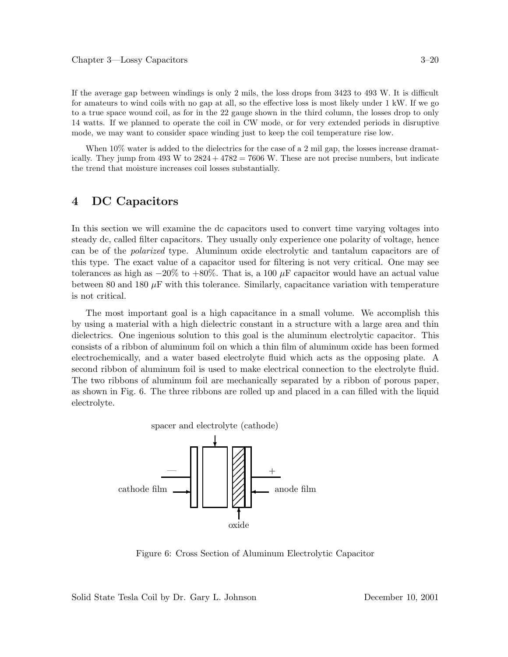If the average gap between windings is only 2 mils, the loss drops from 3423 to 493 W. It is difficult for amateurs to wind coils with no gap at all, so the effective loss is most likely under 1 kW. If we go to a true space wound coil, as for in the 22 gauge shown in the third column, the losses drop to only 14 watts. If we planned to operate the coil in CW mode, or for very extended periods in disruptive mode, we may want to consider space winding just to keep the coil temperature rise low.

When 10% water is added to the dielectrics for the case of a 2 mil gap, the losses increase dramatically. They jump from  $493 \text{ W}$  to  $2824 + 4782 = 7606 \text{ W}$ . These are not precise numbers, but indicate the trend that moisture increases coil losses substantially.

# **4 DC Capacitors**

In this section we will examine the dc capacitors used to convert time varying voltages into steady dc, called filter capacitors. They usually only experience one polarity of voltage, hence can be of the *polarized* type. Aluminum oxide electrolytic and tantalum capacitors are of this type. The exact value of a capacitor used for filtering is not very critical. One may see tolerances as high as  $-20\%$  to  $+80\%$ . That is, a 100  $\mu$ F capacitor would have an actual value between 80 and 180  $\mu$ F with this tolerance. Similarly, capacitance variation with temperature is not critical.

The most important goal is a high capacitance in a small volume. We accomplish this by using a material with a high dielectric constant in a structure with a large area and thin dielectrics. One ingenious solution to this goal is the aluminum electrolytic capacitor. This consists of a ribbon of aluminum foil on which a thin film of aluminum oxide has been formed electrochemically, and a water based electrolyte fluid which acts as the opposing plate. A second ribbon of aluminum foil is used to make electrical connection to the electrolyte fluid. The two ribbons of aluminum foil are mechanically separated by a ribbon of porous paper, as shown in Fig. 6. The three ribbons are rolled up and placed in a can filled with the liquid electrolyte.



Figure 6: Cross Section of Aluminum Electrolytic Capacitor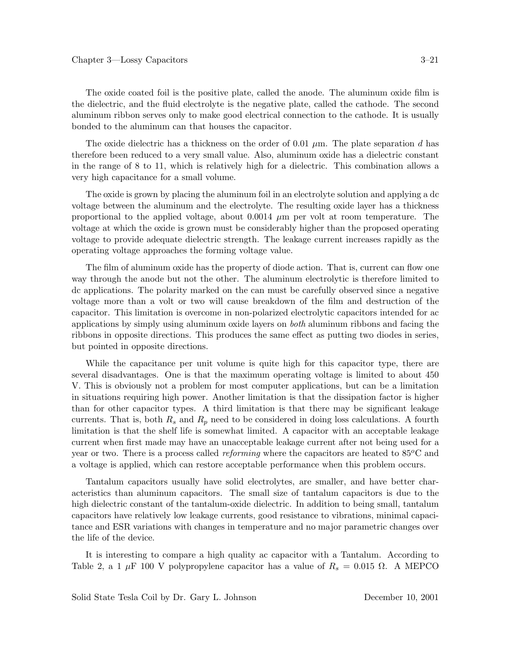The oxide coated foil is the positive plate, called the anode. The aluminum oxide film is the dielectric, and the fluid electrolyte is the negative plate, called the cathode. The second aluminum ribbon serves only to make good electrical connection to the cathode. It is usually bonded to the aluminum can that houses the capacitor.

The oxide dielectric has a thickness on the order of 0.01  $\mu$ m. The plate separation d has therefore been reduced to a very small value. Also, aluminum oxide has a dielectric constant in the range of 8 to 11, which is relatively high for a dielectric. This combination allows a very high capacitance for a small volume.

The oxide is grown by placing the aluminum foil in an electrolyte solution and applying a dc voltage between the aluminum and the electrolyte. The resulting oxide layer has a thickness proportional to the applied voltage, about  $0.0014 \mu m$  per volt at room temperature. The voltage at which the oxide is grown must be considerably higher than the proposed operating voltage to provide adequate dielectric strength. The leakage current increases rapidly as the operating voltage approaches the forming voltage value.

The film of aluminum oxide has the property of diode action. That is, current can flow one way through the anode but not the other. The aluminum electrolytic is therefore limited to dc applications. The polarity marked on the can must be carefully observed since a negative voltage more than a volt or two will cause breakdown of the film and destruction of the capacitor. This limitation is overcome in non-polarized electrolytic capacitors intended for ac applications by simply using aluminum oxide layers on *both* aluminum ribbons and facing the ribbons in opposite directions. This produces the same effect as putting two diodes in series, but pointed in opposite directions.

While the capacitance per unit volume is quite high for this capacitor type, there are several disadvantages. One is that the maximum operating voltage is limited to about 450 V. This is obviously not a problem for most computer applications, but can be a limitation in situations requiring high power. Another limitation is that the dissipation factor is higher than for other capacitor types. A third limitation is that there may be significant leakage currents. That is, both  $R_s$  and  $R_p$  need to be considered in doing loss calculations. A fourth limitation is that the shelf life is somewhat limited. A capacitor with an acceptable leakage current when first made may have an unacceptable leakage current after not being used for a year or two. There is a process called *reforming* where the capacitors are heated to  $85^{\circ}$ C and a voltage is applied, which can restore acceptable performance when this problem occurs.

Tantalum capacitors usually have solid electrolytes, are smaller, and have better characteristics than aluminum capacitors. The small size of tantalum capacitors is due to the high dielectric constant of the tantalum-oxide dielectric. In addition to being small, tantalum capacitors have relatively low leakage currents, good resistance to vibrations, minimal capacitance and ESR variations with changes in temperature and no major parametric changes over the life of the device.

It is interesting to compare a high quality ac capacitor with a Tantalum. According to Table 2, a 1  $\mu$ F 100 V polypropylene capacitor has a value of  $R_s = 0.015 \Omega$ . A MEPCO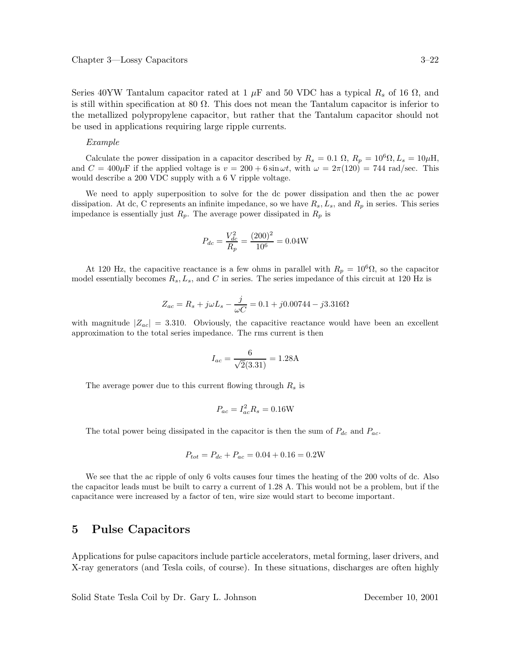Series 40YW Tantalum capacitor rated at 1  $\mu$ F and 50 VDC has a typical  $R_s$  of 16  $\Omega$ , and is still within specification at 80  $\Omega$ . This does not mean the Tantalum capacitor is inferior to the metallized polypropylene capacitor, but rather that the Tantalum capacitor should not be used in applications requiring large ripple currents.

#### *Example*

Calculate the power dissipation in a capacitor described by  $R_s = 0.1 \Omega$ ,  $R_p = 10^6 \Omega$ ,  $L_s = 10 \mu$ H, and  $C = 400 \mu$ F if the applied voltage is  $v = 200 + 6 \sin \omega t$ , with  $\omega = 2\pi(120) = 744$  rad/sec. This would describe a 200 VDC supply with a 6 V ripple voltage.

We need to apply superposition to solve for the dc power dissipation and then the ac power dissipation. At dc, C represents an infinite impedance, so we have  $R_s$ ,  $L_s$ , and  $R_p$  in series. This series impedance is essentially just  $R_p$ . The average power dissipated in  $R_p$  is

$$
P_{dc} = \frac{V_{dc}^2}{R_p} = \frac{(200)^2}{10^6} = 0.04 \text{W}
$$

At 120 Hz, the capacitive reactance is a few ohms in parallel with  $R_p = 10^6 \Omega$ , so the capacitor model essentially becomes R*s*, L*s*, and C in series. The series impedance of this circuit at 120 Hz is

$$
Z_{ac} = R_s + j\omega L_s - \frac{j}{\omega C} = 0.1 + j0.00744 - j3.316 \Omega
$$

with magnitude  $|Z_{ac}| = 3.310$ . Obviously, the capacitive reactance would have been an excellent approximation to the total series impedance. The rms current is then

$$
I_{ac} = \frac{6}{\sqrt{2}(3.31)} = 1.28 \text{A}
$$

The average power due to this current flowing through R*<sup>s</sup>* is

$$
P_{ac} = I_{ac}^2 R_s = 0.16
$$
W

The total power being dissipated in the capacitor is then the sum of P*dc* and P*ac*.

$$
P_{tot} = P_{dc} + P_{ac} = 0.04 + 0.16 = 0.2W
$$

We see that the ac ripple of only 6 volts causes four times the heating of the 200 volts of dc. Also the capacitor leads must be built to carry a current of 1.28 A. This would not be a problem, but if the capacitance were increased by a factor of ten, wire size would start to become important.

### **5 Pulse Capacitors**

Applications for pulse capacitors include particle accelerators, metal forming, laser drivers, and X-ray generators (and Tesla coils, of course). In these situations, discharges are often highly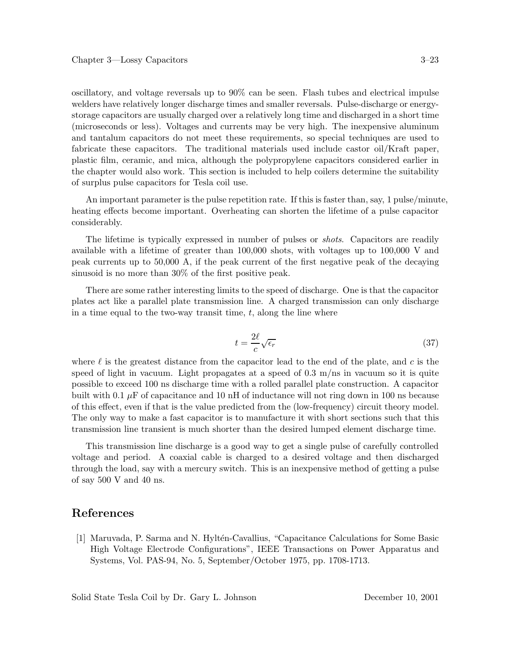oscillatory, and voltage reversals up to 90% can be seen. Flash tubes and electrical impulse welders have relatively longer discharge times and smaller reversals. Pulse-discharge or energystorage capacitors are usually charged over a relatively long time and discharged in a short time (microseconds or less). Voltages and currents may be very high. The inexpensive aluminum and tantalum capacitors do not meet these requirements, so special techniques are used to fabricate these capacitors. The traditional materials used include castor oil/Kraft paper, plastic film, ceramic, and mica, although the polypropylene capacitors considered earlier in the chapter would also work. This section is included to help coilers determine the suitability of surplus pulse capacitors for Tesla coil use.

An important parameter is the pulse repetition rate. If this is faster than, say, 1 pulse/minute, heating effects become important. Overheating can shorten the lifetime of a pulse capacitor considerably.

The lifetime is typically expressed in number of pulses or *shots*. Capacitors are readily available with a lifetime of greater than 100,000 shots, with voltages up to 100,000 V and peak currents up to 50,000 A, if the peak current of the first negative peak of the decaying sinusoid is no more than 30% of the first positive peak.

There are some rather interesting limits to the speed of discharge. One is that the capacitor plates act like a parallel plate transmission line. A charged transmission can only discharge in a time equal to the two-way transit time,  $t$ , along the line where

$$
t = \frac{2\ell}{c}\sqrt{\epsilon_r} \tag{37}
$$

where  $\ell$  is the greatest distance from the capacitor lead to the end of the plate, and c is the speed of light in vacuum. Light propagates at a speed of 0.3 m/ns in vacuum so it is quite possible to exceed 100 ns discharge time with a rolled parallel plate construction. A capacitor built with 0.1  $\mu$ F of capacitance and 10 nH of inductance will not ring down in 100 ns because of this effect, even if that is the value predicted from the (low-frequency) circuit theory model. The only way to make a fast capacitor is to manufacture it with short sections such that this transmission line transient is much shorter than the desired lumped element discharge time.

This transmission line discharge is a good way to get a single pulse of carefully controlled voltage and period. A coaxial cable is charged to a desired voltage and then discharged through the load, say with a mercury switch. This is an inexpensive method of getting a pulse of say 500 V and 40 ns.

# **References**

[1] Maruvada, P. Sarma and N. Hylt´en-Cavallius, "Capacitance Calculations for Some Basic High Voltage Electrode Configurations", IEEE Transactions on Power Apparatus and Systems, Vol. PAS-94, No. 5, September/October 1975, pp. 1708-1713.